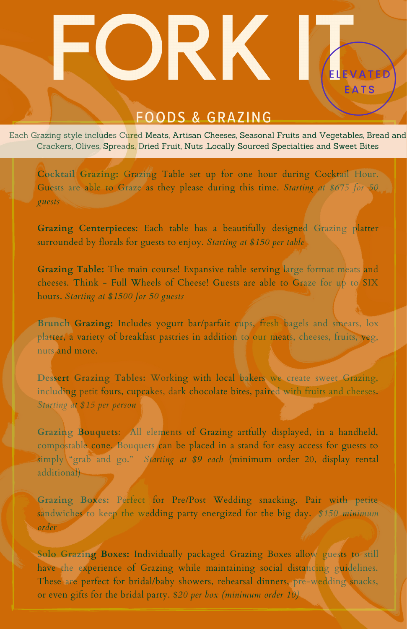## **FOODS & GRAZING**

R K

**ELEVATE** 

Each Grazing style includes Cured Meats, Artisan Cheeses, Seasonal Fruits and Vegetables, Bread and Crackers, Olives, Spreads, Dried Fruit, Nuts ,Locally Sourced Specialties and Sweet Bites

**Cocktail Grazing:** Grazing Table set up for one hour during Cocktail Hour. Guests are able to Graze as they please during this time. *Starting at \$675 for 50 guests*

**Grazing Centerpieces**: Each table has a beautifully designed Grazing platter surrounded by florals for guests to enjoy. *Starting at \$150 per table*

**Grazing Table:** The main course! Expansive table serving large format meats and cheeses. Think - Full Wheels of Cheese! Guests are able to Graze for up to SIX hours. *Starting at \$1500 for 50 guests*

**Brunch Grazing:** Includes yogurt bar/parfait cups, fresh bagels and smears, lox platter, a variety of breakfast pastries in addition to our meats, cheeses, fruits, veg, nuts and more.

**Dessert Grazing Tables:** Working with local bakers we create sweet Grazing, including petit fours, cupcakes, dark chocolate bites, paired with fruits and cheeses. *Starting at \$15 per person*

**Grazing Bouquets**: All elements of Grazing artfully displayed, in a handheld, compostable cone. Bouquets can be placed in a stand for easy access for guests to simply "grab and go." *Starting at \$9 each* (minimum order 20, display rental additional)

**Grazing Boxes:** Perfect for Pre/Post Wedding snacking. Pair with petite sandwiches to keep the wedding party energized for the big day. *\$150 minimum order*

**Solo Grazing Boxes:** Individually packaged Grazing Boxes allow guests to still have the experience of Grazing while maintaining social distancing guidelines. These are perfect for bridal/baby showers, rehearsal dinners, pre-wedding snacks, or even gifts for the bridal party. \$*20 per box (minimum order 10)*